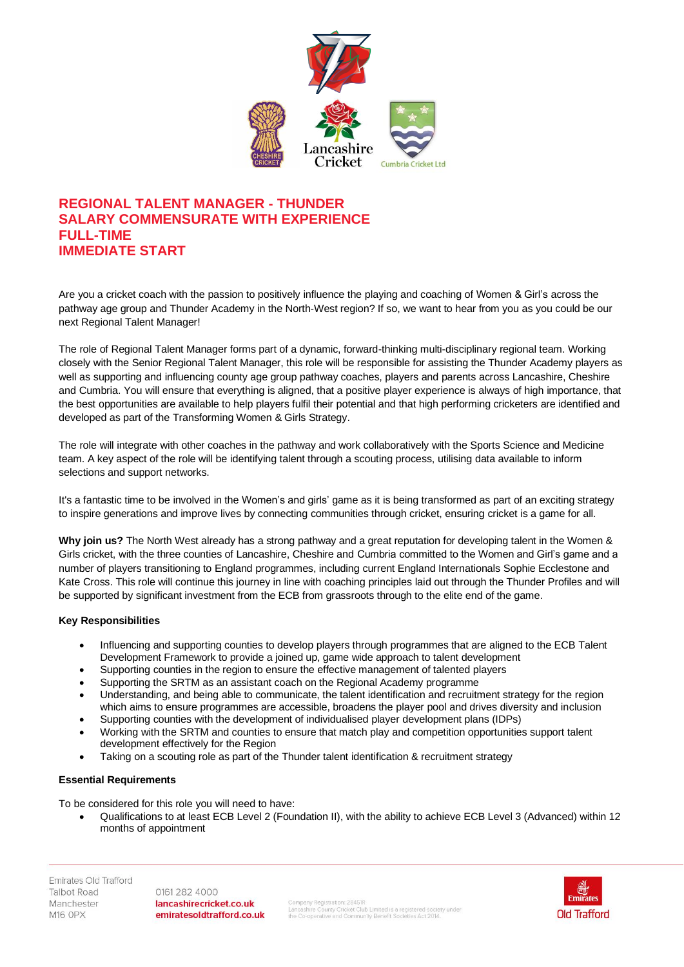

# **REGIONAL TALENT MANAGER - THUNDER SALARY COMMENSURATE WITH EXPERIENCE FULL-TIME IMMEDIATE START**

Are you a cricket coach with the passion to positively influence the playing and coaching of Women & Girl's across the pathway age group and Thunder Academy in the North-West region? If so, we want to hear from you as you could be our next Regional Talent Manager!

The role of Regional Talent Manager forms part of a dynamic, forward-thinking multi-disciplinary regional team. Working closely with the Senior Regional Talent Manager, this role will be responsible for assisting the Thunder Academy players as well as supporting and influencing county age group pathway coaches, players and parents across Lancashire, Cheshire and Cumbria. You will ensure that everything is aligned, that a positive player experience is always of high importance, that the best opportunities are available to help players fulfil their potential and that high performing cricketers are identified and developed as part of the Transforming Women & Girls Strategy.

The role will integrate with other coaches in the pathway and work collaboratively with the Sports Science and Medicine team. A key aspect of the role will be identifying talent through a scouting process, utilising data available to inform selections and support networks.

It's a fantastic time to be involved in the Women's and girls' game as it is being transformed as part of an exciting strategy to inspire generations and improve lives by connecting communities through cricket, ensuring cricket is a game for all.

**Why join us?** The North West already has a strong pathway and a great reputation for developing talent in the Women & Girls cricket, with the three counties of Lancashire, Cheshire and Cumbria committed to the Women and Girl's game and a number of players transitioning to England programmes, including current England Internationals Sophie Ecclestone and Kate Cross. This role will continue this journey in line with coaching principles laid out through the Thunder Profiles and will be supported by significant investment from the ECB from grassroots through to the elite end of the game.

# **Key Responsibilities**

- Influencing and supporting counties to develop players through programmes that are aligned to the ECB Talent Development Framework to provide a joined up, game wide approach to talent development
- Supporting counties in the region to ensure the effective management of talented players
- Supporting the SRTM as an assistant coach on the Regional Academy programme
- Understanding, and being able to communicate, the talent identification and recruitment strategy for the region which aims to ensure programmes are accessible, broadens the player pool and drives diversity and inclusion
- Supporting counties with the development of individualised player development plans (IDPs)
- Working with the SRTM and counties to ensure that match play and competition opportunities support talent development effectively for the Region
- Taking on a scouting role as part of the Thunder talent identification & recruitment strategy

# **Essential Requirements**

To be considered for this role you will need to have:

• Qualifications to at least ECB Level 2 (Foundation II), with the ability to achieve ECB Level 3 (Advanced) within 12 months of appointment

0161 282 4000 lancashirecricket.co.uk emiratesoldtrafford.co.uk

mpany Registration: 28451R<br>icashire County Cricket Club Limited is a registered society under<br>: Co-operative and Community Benefit Societies Act 2014.